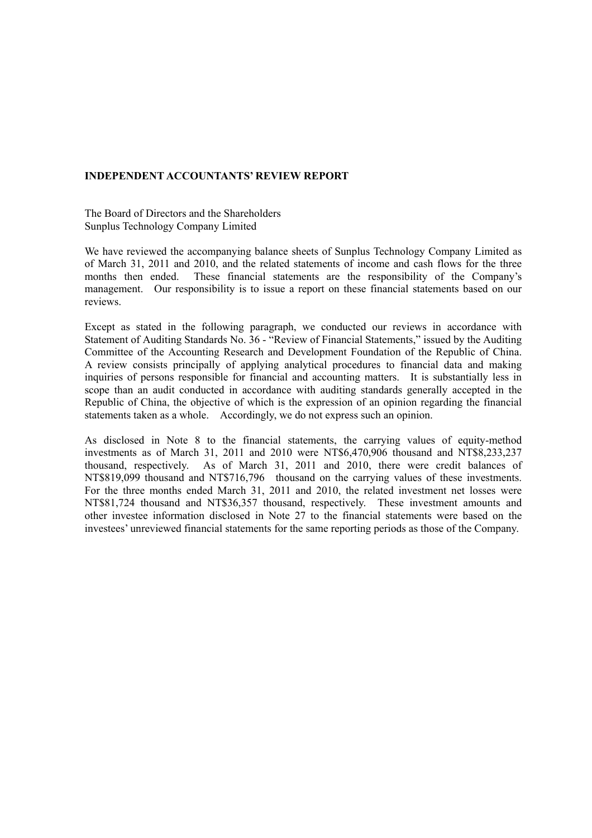#### **INDEPENDENT ACCOUNTANTS' REVIEW REPORT**

The Board of Directors and the Shareholders Sunplus Technology Company Limited

We have reviewed the accompanying balance sheets of Sunplus Technology Company Limited as of March 31, 2011 and 2010, and the related statements of income and cash flows for the three months then ended. These financial statements are the responsibility of the Company's management. Our responsibility is to issue a report on these financial statements based on our reviews.

Except as stated in the following paragraph, we conducted our reviews in accordance with Statement of Auditing Standards No. 36 - "Review of Financial Statements," issued by the Auditing Committee of the Accounting Research and Development Foundation of the Republic of China. A review consists principally of applying analytical procedures to financial data and making inquiries of persons responsible for financial and accounting matters. It is substantially less in scope than an audit conducted in accordance with auditing standards generally accepted in the Republic of China, the objective of which is the expression of an opinion regarding the financial statements taken as a whole. Accordingly, we do not express such an opinion.

As disclosed in Note 8 to the financial statements, the carrying values of equity-method investments as of March 31, 2011 and 2010 were NT\$6,470,906 thousand and NT\$8,233,237 thousand, respectively. As of March 31, 2011 and 2010, there were credit balances of NT\$819,099 thousand and NT\$716,796 thousand on the carrying values of these investments. For the three months ended March 31, 2011 and 2010, the related investment net losses were NT\$81,724 thousand and NT\$36,357 thousand, respectively. These investment amounts and other investee information disclosed in Note 27 to the financial statements were based on the investees' unreviewed financial statements for the same reporting periods as those of the Company.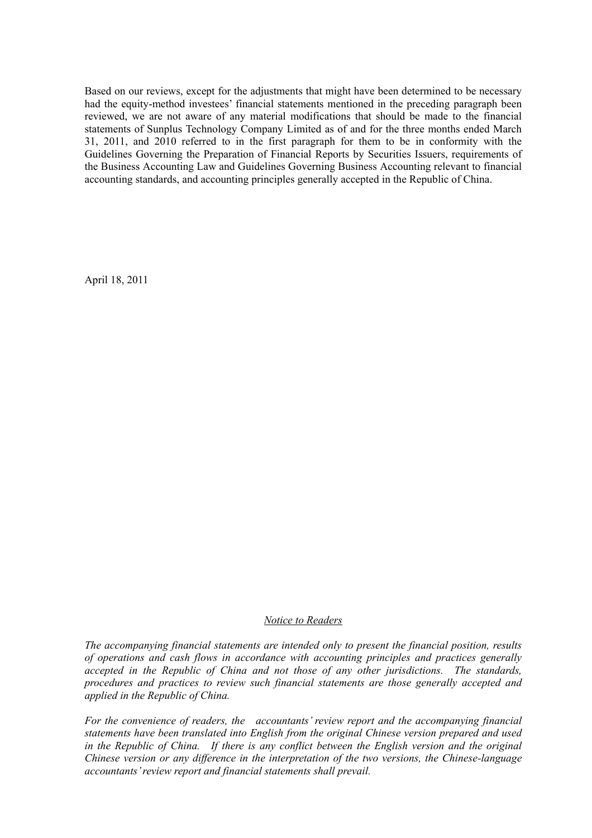Based on our reviews, except for the adjustments that might have been determined to be necessary had the equity-method investees' financial statements mentioned in the preceding paragraph been reviewed, we are not aware of any material modifications that should be made to the financial statements of Sunplus Technology Company Limited as of and for the three months ended March 31, 2011, and 2010 referred to in the first paragraph for them to be in conformity with the Guidelines Governing the Preparation of Financial Reports by Securities Issuers, requirements of the Business Accounting Law and Guidelines Governing Business Accounting relevant to financial accounting standards, and accounting principles generally accepted in the Republic of China.

April 18, 2011

#### *Notice to Readers*

*The accompanying financial statements are intended only to present the financial position, results of operations and cash flows in accordance with accounting principles and practices generally accepted in the Republic of China and not those of any other jurisdictions. The standards, procedures and practices to review such financial statements are those generally accepted and applied in the Republic of China.* 

*For the convenience of readers, the accountants' review report and the accompanying financial statements have been translated into English from the original Chinese version prepared and used*  in the Republic of China. If there is any conflict between the English version and the original *Chinese version or any difference in the interpretation of the two versions, the Chinese-language accountants' review report and financial statements shall prevail.*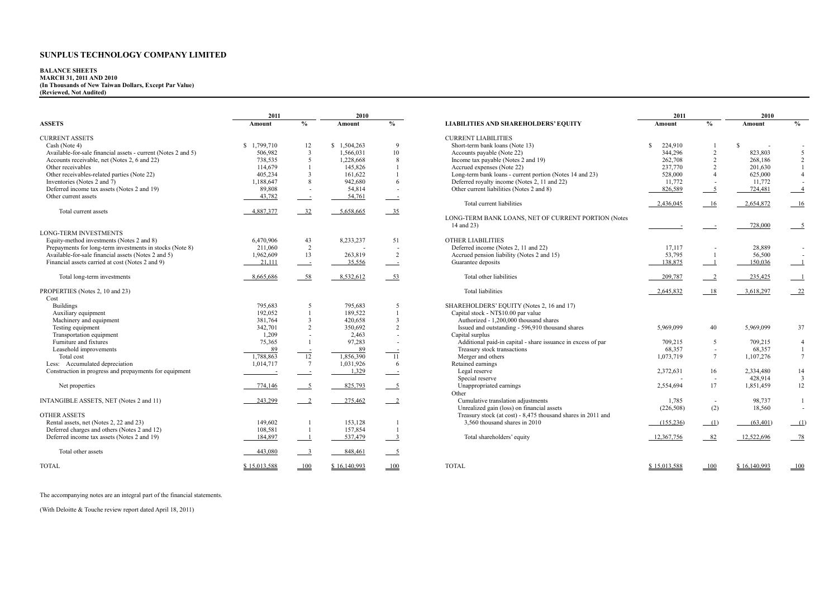# **BALANCE SHEETS MARCH 31, 2011 AND 2010 (In Thousands of New Taiwan Dollars, Except Par Value) (Reviewed, Not Audited)**

|                                                               | 2011<br>2010             |                          |              |                            | 2011                                                         |              | 2010                       |              |                            |
|---------------------------------------------------------------|--------------------------|--------------------------|--------------|----------------------------|--------------------------------------------------------------|--------------|----------------------------|--------------|----------------------------|
| <b>ASSETS</b>                                                 | Amount                   | $\%$                     | Amount       | $\frac{0}{0}$              | <b>LIABILITIES AND SHAREHOLDERS' EQUITY</b>                  | Amount       | $\frac{0}{0}$              | Amount       | $\frac{0}{0}$              |
| <b>CURRENT ASSETS</b>                                         |                          |                          |              |                            | <b>CURRENT LIABILITIES</b>                                   |              |                            |              |                            |
| Cash (Note 4)                                                 | \$1,799,710              | 12                       | \$1,504,263  | $\mathbf Q$                | Short-term bank loans (Note 13)                              | S<br>224,910 |                            | S            |                            |
| Available-for-sale financial assets - current (Notes 2 and 5) | 506,982                  | $\overline{3}$           | 1,566,031    | 10                         | Accounts payable (Note 22)                                   | 344,296      | $\overline{2}$             | 823,803      | 5                          |
| Accounts receivable, net (Notes 2, 6 and 22)                  | 738,535                  | .5                       | 1,228,668    | $\mathbf{\hat{z}}$         | Income tax payable (Notes 2 and 19)                          | 262,708      | $\overline{2}$             | 268,186      | 2                          |
| Other receivables                                             | 114,679                  |                          | 145.826      |                            | Accrued expenses (Note 22)                                   | 237,770      | 2                          | 201,630      | $\mathbf{1}$               |
| Other receivables-related parties (Note 22)                   | 405,234                  | 3                        | 161,622      |                            | Long-term bank loans - current portion (Notes 14 and 23)     | 528,000      | $\Delta$                   | 625,000      | $\overline{4}$             |
| Inventories (Notes 2 and 7)                                   | 1,188,647                | 8                        | 942,680      | 6                          | Deferred royalty income (Notes 2, 11 and 22)                 | 11,772       |                            | 11,772       |                            |
| Deferred income tax assets (Notes 2 and 19)                   | 89,808                   | $\overline{\phantom{a}}$ | 54,814       |                            | Other current liabilities (Notes 2 and 8)                    | 826,589      | $\overline{5}$             | 724,481      | $\overline{\phantom{0}}$ 4 |
| Other current assets                                          | 43,782                   | $\overline{\phantom{a}}$ | 54,761       |                            |                                                              |              |                            |              |                            |
|                                                               |                          |                          |              |                            | Total current liabilities                                    | 2,436,045    | - 16                       | 2,654,872    | 16                         |
| Total current assets                                          | 4,887,377                | 32                       | 5,658,665    | $-35$                      |                                                              |              |                            |              |                            |
|                                                               |                          |                          |              |                            | LONG-TERM BANK LOANS, NET OF CURRENT PORTION (Notes          |              |                            |              |                            |
|                                                               |                          |                          |              |                            | 14 and 23)                                                   |              |                            | 728,000      |                            |
| <b>LONG-TERM INVESTMENTS</b>                                  |                          |                          |              |                            |                                                              |              |                            |              |                            |
|                                                               |                          |                          |              |                            | <b>OTHER LIABILITIES</b>                                     |              |                            |              |                            |
| Equity-method investments (Notes 2 and 8)                     | 6,470,906                | 43                       | 8,233,237    | 51                         | Deferred income (Notes 2, 11 and 22)                         |              |                            | 28,889       |                            |
| Prepayments for long-term investments in stocks (Note 8)      | 211,060                  | 2                        |              | $\overline{\phantom{a}}$   |                                                              | 17,117       |                            |              |                            |
| Available-for-sale financial assets (Notes 2 and 5)           | 1,962,609                | 13                       | 263,819      | 2                          | Accrued pension liability (Notes 2 and 15)                   | 53,795       | - 1                        | 56,500       |                            |
| Financial assets carried at cost (Notes 2 and 9)              | 21,111                   | $\sim$                   | 35.556       | $\sim$ 100 $\pm$           | Guarantee deposits                                           | 138.875      | $\overline{1}$             | 150.036      | $-1$                       |
| Total long-term investments                                   | 8,665,686                | 58                       | 8,532,612    | 53                         | Total other liabilities                                      | 209,787      | $\overline{\phantom{0}}^2$ | 235,425      |                            |
| PROPERTIES (Notes 2, 10 and 23)                               |                          |                          |              |                            | <b>Total liabilities</b>                                     | 2,645,832    | - 18                       | 3,618,297    | $-22$                      |
| Cost                                                          |                          |                          |              |                            |                                                              |              |                            |              |                            |
| <b>Buildings</b>                                              | 795,683                  | 5                        | 795,683      | 5                          | SHAREHOLDERS' EQUITY (Notes 2, 16 and 17)                    |              |                            |              |                            |
| Auxiliary equipment                                           | 192,052                  |                          | 189.522      |                            | Capital stock - NT\$10.00 par value                          |              |                            |              |                            |
| Machinery and equipment                                       | 381,764                  | $\overline{\mathbf{3}}$  | 420.658      | $\overline{\mathbf{3}}$    | Authorized - 1.200.000 thousand shares                       |              |                            |              |                            |
| Testing equipment                                             | 342,701                  | $\overline{2}$           | 350,692      | $\overline{2}$             | Issued and outstanding - 596,910 thousand shares             | 5,969,099    | 40                         | 5,969,099    | 37                         |
| Transportation equipment                                      | 1,209                    | $\overline{\phantom{a}}$ | 2,463        | $\overline{\phantom{a}}$   | Capital surplus                                              |              |                            |              |                            |
| Furniture and fixtures                                        | 75.365                   |                          | 97,283       | $\overline{\phantom{a}}$   | Additional paid-in capital - share issuance in excess of par | 709.215      | 5                          | 709,215      | $\overline{4}$             |
| Leasehold improvements                                        | 89                       |                          | 89           |                            | Treasury stock transactions                                  | 68,357       | $\sim$                     | 68,357       | $\mathbf{1}$               |
| Total cost                                                    | 1,788,863                | $\overline{12}$          | 1,856,390    | -11                        | Merger and others                                            | 1,073,719    | $\overline{7}$             | 1,107,276    | $7\overline{ }$            |
| Less: Accumulated depreciation                                | 1,014,717                | $7\phantom{.0}$          | 1,031,926    | -6                         | Retained earnings                                            |              |                            |              |                            |
| Construction in progress and prepayments for equipment        |                          |                          | 1,329        |                            | Legal reserve                                                | 2,372,631    | 16                         | 2,334,480    | 14                         |
|                                                               | $\overline{\phantom{a}}$ | $\sim$ $\sim$            |              | $\overline{\phantom{a}}$   | Special reserve                                              |              |                            | 428,914      | $\overline{3}$             |
|                                                               |                          |                          |              |                            |                                                              |              | 17                         |              |                            |
| Net properties                                                | 774,146                  | $\overline{\phantom{0}}$ | 825,793      | $-5$                       | Unappropriated earnings<br>Other                             | 2,554,694    |                            | 1,851,459    | 12                         |
| INTANGIBLE ASSETS, NET (Notes 2 and 11)                       | 243,299                  | $\overline{\phantom{0}}$ | 275,462      | $\overline{\phantom{0}}^2$ | Cumulative translation adjustments                           | 1,785        | $\overline{\phantom{a}}$   | 98,737       | $\mathbf{1}$               |
|                                                               |                          |                          |              |                            | Unrealized gain (loss) on financial assets                   | (226, 508)   | (2)                        | 18,560       | $\sim$                     |
| <b>OTHER ASSETS</b>                                           |                          |                          |              |                            | Treasury stock (at cost) - 8,475 thousand shares in 2011 and |              |                            |              |                            |
| Rental assets, net (Notes 2, 22 and 23)                       | 149,602                  |                          | 153,128      |                            | 3,560 thousand shares in 2010                                | (155, 236)   | (1)                        | (63, 401)    | (1)                        |
| Deferred charges and others (Notes 2 and 12)                  | 108,581                  |                          | 157,854      |                            |                                                              |              |                            |              |                            |
| Deferred income tax assets (Notes 2 and 19)                   | 184,897                  |                          | 537,479      | $\overline{\mathbf{3}}$    | Total shareholders' equity                                   | 12,367,756   | 82                         | 12.522.696   | $-78$                      |
|                                                               |                          |                          |              |                            |                                                              |              |                            |              |                            |
| Total other assets                                            | 443.080                  | $\overline{\phantom{a}}$ | 848.461      | $5^{\circ}$                |                                                              |              |                            |              |                            |
| <b>TOTAL</b>                                                  | \$15.013.588             | 100                      | \$16.140.993 | 100                        | <b>TOTAL</b>                                                 | \$15.013.588 | 100                        | \$16.140.993 | 100                        |

| 2011 | 2010                     |              |                            |                                                              | 2011         |                            | 2010         |                |
|------|--------------------------|--------------|----------------------------|--------------------------------------------------------------|--------------|----------------------------|--------------|----------------|
| ıt.  | $\frac{0}{0}$            | Amount       | $\frac{0}{6}$              | <b>LIABILITIES AND SHAREHOLDERS' EQUITY</b>                  | Amount       | $\frac{0}{0}$              | Amount       | $\frac{0}{0}$  |
|      |                          |              |                            | <b>CURRENT LIABILITIES</b>                                   |              |                            |              |                |
| 710  | 12                       | \$1,504,263  | 9                          | Short-term bank loans (Note 13)                              | S<br>224,910 | -1                         | S            |                |
| 982  | 3                        | 1,566,031    | 10                         | Accounts payable (Note 22)                                   | 344,296      | $\overline{c}$             | 823,803      | 5              |
| 535  | 5                        | 1,228,668    | 8                          | Income tax payable (Notes 2 and 19)                          | 262,708      | 2                          | 268,186      | $\overline{c}$ |
| 679  | $\mathbf{1}$             | 145,826      | $\mathbf{1}$               | Accrued expenses (Note 22)                                   | 237,770      | $\overline{2}$             | 201,630      |                |
| 234  | 3                        | 161,622      | $\mathbf{1}$               | Long-term bank loans - current portion (Notes 14 and 23)     | 528,000      | $\overline{4}$             | 625,000      | $\overline{4}$ |
| 647  | 8                        | 942,680      | 6                          | Deferred royalty income (Notes 2, 11 and 22)                 | 11,772       |                            | 11,772       |                |
| 808  |                          | 54,814       |                            | Other current liabilities (Notes 2 and 8)                    | 826,589      | 5                          | 724,481      | $\overline{4}$ |
| 782  | $\overline{\phantom{a}}$ | 54,761       |                            |                                                              |              |                            |              |                |
|      |                          |              |                            | Total current liabilities                                    | 2,436,045    | 16                         | 2,654,872    | 16             |
| 377  | 32                       | 5,658,665    | 35                         |                                                              |              |                            |              |                |
|      |                          |              |                            | LONG-TERM BANK LOANS, NET OF CURRENT PORTION (Notes          |              |                            |              |                |
|      |                          |              |                            | 14 and 23)                                                   |              |                            | 728,000      | $\overline{5}$ |
|      |                          |              |                            |                                                              |              |                            |              |                |
| 906  | 43                       | 8,233,237    | 51                         | <b>OTHER LIABILITIES</b>                                     |              |                            |              |                |
| 060  | 2                        |              |                            | Deferred income (Notes 2, 11 and 22)                         | 17,117       |                            | 28,889       |                |
| 609  | 13                       | 263,819      | $\overline{2}$             | Accrued pension liability (Notes 2 and 15)                   | 53,795       | $\overline{1}$             | 56,500       |                |
| 111  | $\equiv$                 | 35,556       | $\overline{\phantom{a}}$   | Guarantee deposits                                           | 138,875      | - 1                        | 150,036      |                |
|      |                          |              |                            |                                                              |              |                            |              |                |
| 686  | $-58$                    | 8,532,612    | $-53$                      | Total other liabilities                                      | 209,787      | $\overline{\phantom{0}}^2$ | 235,425      |                |
|      |                          |              |                            |                                                              |              |                            |              |                |
|      |                          |              |                            | <b>Total liabilities</b>                                     | 2,645,832    | 18                         | 3,618,297    | 22             |
| 683  | 5                        | 795,683      | 5                          | SHAREHOLDERS' EQUITY (Notes 2, 16 and 17)                    |              |                            |              |                |
| 052  | 1                        | 189,522      | $\mathbf{1}$               | Capital stock - NT\$10.00 par value                          |              |                            |              |                |
| 764  | 3                        | 420,658      | 3                          | Authorized - 1,200,000 thousand shares                       |              |                            |              |                |
| 701  | $\overline{c}$           | 350,692      | $\overline{c}$             | Issued and outstanding - 596,910 thousand shares             | 5,969,099    | 40                         | 5,969,099    | 37             |
| 209  |                          | 2,463        |                            | Capital surplus                                              |              |                            |              |                |
| 365  | 1                        | 97,283       |                            | Additional paid-in capital - share issuance in excess of par | 709,215      | 5                          | 709,215      | 4              |
| 89   |                          | 89           |                            | Treasury stock transactions                                  | 68,357       | ÷,                         | 68,357       | $\mathbf{1}$   |
| 863  | 12                       | 1,856,390    | 11                         | Merger and others                                            | 1,073,719    | $\tau$                     | 1,107,276    | 7              |
| 717  | $7\phantom{.0}$          | 1,031,926    | 6                          | Retained earnings                                            |              |                            |              |                |
|      | $\equiv$                 | 1,329        |                            | Legal reserve                                                | 2,372,631    | 16                         | 2,334,480    | 14             |
|      |                          |              |                            | Special reserve                                              |              | $\sim$                     | 428,914      | 3              |
| 146  | $\overline{\phantom{0}}$ | 825,793      | $\overline{\phantom{0}}$   | Unappropriated earnings                                      | 2,554,694    | 17                         | 1,851,459    | 12             |
|      |                          |              |                            | Other                                                        |              |                            |              |                |
| 299  | $\overline{2}$           | 275,462      | $\overline{\phantom{0}}$ 2 | Cumulative translation adjustments                           | 1,785        | $\overline{\phantom{a}}$   | 98,737       | 1              |
|      |                          |              |                            | Unrealized gain (loss) on financial assets                   | (226, 508)   | (2)                        | 18,560       |                |
|      |                          |              |                            | Treasury stock (at cost) - 8,475 thousand shares in 2011 and |              |                            |              |                |
| 602  |                          | 153,128      | -1                         | 3,560 thousand shares in 2010                                | (155, 236)   | (1)                        | (63, 401)    | (1)            |
| 581  |                          | 157,854      |                            |                                                              |              |                            |              |                |
| 897  |                          | 537,479      | 3                          | Total shareholders' equity                                   | 12,367,756   | 82                         | 12,522,696   | 78             |
|      |                          |              |                            |                                                              |              |                            |              |                |
| 080  | $\overline{\mathbf{3}}$  | 848,461      | - 5                        |                                                              |              |                            |              |                |
|      |                          |              |                            |                                                              |              |                            |              |                |
| 588  | 100                      | \$16.140.993 | 100                        | <b>TOTAL</b>                                                 | \$15,013,588 | 100                        | \$16,140,993 | 100            |

The accompanying notes are an integral part of the financial statements.

(With Deloitte & Touche review report dated April 18, 2011)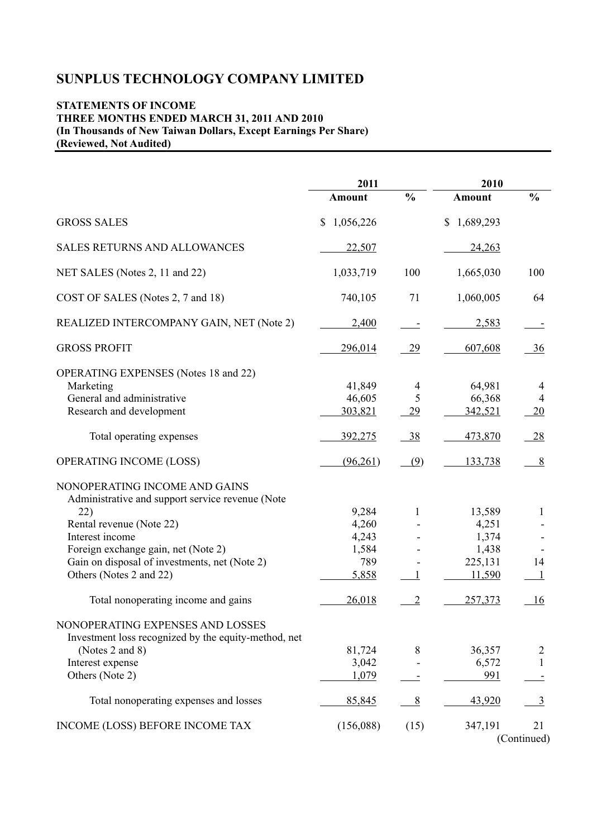# **STATEMENTS OF INCOME THREE MONTHS ENDED MARCH 31, 2011 AND 2010 (In Thousands of New Taiwan Dollars, Except Earnings Per Share) (Reviewed, Not Audited)**

|                                                                                                                    | 2011                        |                           | 2010                        |                                  |  |
|--------------------------------------------------------------------------------------------------------------------|-----------------------------|---------------------------|-----------------------------|----------------------------------|--|
|                                                                                                                    | <b>Amount</b>               | $\frac{0}{0}$             | <b>Amount</b>               | $\frac{0}{0}$                    |  |
| <b>GROSS SALES</b>                                                                                                 | 1,056,226<br>\$             |                           | \$1,689,293                 |                                  |  |
| SALES RETURNS AND ALLOWANCES                                                                                       | 22,507                      |                           | 24,263                      |                                  |  |
| NET SALES (Notes 2, 11 and 22)                                                                                     | 1,033,719                   | 100                       | 1,665,030                   | 100                              |  |
| COST OF SALES (Notes 2, 7 and 18)                                                                                  | 740,105                     | 71                        | 1,060,005                   | 64                               |  |
| REALIZED INTERCOMPANY GAIN, NET (Note 2)                                                                           | 2,400                       | $\overline{\phantom{a}}$  | 2,583                       |                                  |  |
| <b>GROSS PROFIT</b>                                                                                                | 296,014                     | <u>29</u>                 | 607,608                     | 36                               |  |
| <b>OPERATING EXPENSES</b> (Notes 18 and 22)<br>Marketing<br>General and administrative<br>Research and development | 41,849<br>46,605<br>303,821 | $\overline{4}$<br>5<br>29 | 64,981<br>66,368<br>342,521 | 4<br>$\overline{4}$<br><b>20</b> |  |
| Total operating expenses                                                                                           | <u>392,275</u>              | <u>38</u>                 | 473,870                     | 28                               |  |
| OPERATING INCOME (LOSS)                                                                                            | (96,261)                    | (9)                       | 133,738                     | 8                                |  |
| NONOPERATING INCOME AND GAINS<br>Administrative and support service revenue (Note                                  |                             |                           |                             |                                  |  |
| 22)                                                                                                                | 9,284                       | 1                         | 13,589                      | 1                                |  |
| Rental revenue (Note 22)                                                                                           | 4,260                       |                           | 4,251                       |                                  |  |
| Interest income                                                                                                    | 4,243                       |                           | 1,374                       |                                  |  |
| Foreign exchange gain, net (Note 2)                                                                                | 1,584                       |                           | 1,438                       |                                  |  |
| Gain on disposal of investments, net (Note 2)                                                                      | 789                         |                           | 225,131                     | 14                               |  |
| Others (Notes 2 and 22)                                                                                            | 5,858                       |                           | 11,590                      |                                  |  |
| Total nonoperating income and gains                                                                                | 26,018                      | 2                         | 257,373                     | 16                               |  |
| NONOPERATING EXPENSES AND LOSSES<br>Investment loss recognized by the equity-method, net                           |                             |                           |                             |                                  |  |
| (Notes 2 and 8)                                                                                                    | 81,724                      | 8                         | 36,357                      | 2                                |  |
| Interest expense                                                                                                   | 3,042                       |                           | 6,572                       | $\mathbf{1}$                     |  |
| Others (Note 2)                                                                                                    | 1,079                       |                           | 991                         |                                  |  |
| Total nonoperating expenses and losses                                                                             | 85,845                      | 8                         | 43,920                      | $\overline{3}$                   |  |
| INCOME (LOSS) BEFORE INCOME TAX                                                                                    | (156,088)                   | (15)                      | 347,191                     | 21<br>(Continued)                |  |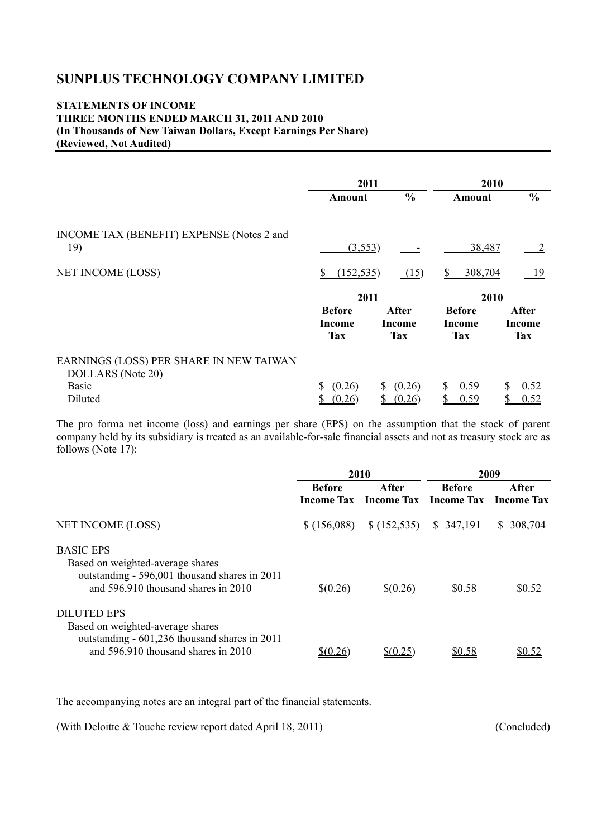### **STATEMENTS OF INCOME THREE MONTHS ENDED MARCH 31, 2011 AND 2010 (In Thousands of New Taiwan Dollars, Except Earnings Per Share) (Reviewed, Not Audited)**

|                                                              | 2011                                         |                                             | 2010                                  |                                      |  |
|--------------------------------------------------------------|----------------------------------------------|---------------------------------------------|---------------------------------------|--------------------------------------|--|
|                                                              | <b>Amount</b>                                | $\frac{0}{0}$                               |                                       | $\frac{6}{6}$                        |  |
| INCOME TAX (BENEFIT) EXPENSE (Notes 2 and<br>19)             | (3,553)                                      |                                             | 38,487                                |                                      |  |
| NET INCOME (LOSS)                                            | (152, 535)<br>\$                             | (15)                                        | 308,704                               | $-19$                                |  |
|                                                              | 2011                                         |                                             | 2010                                  |                                      |  |
|                                                              | <b>Before</b><br><b>Income</b><br><b>Tax</b> | <b>After</b><br><b>Income</b><br><b>Tax</b> | <b>Before</b><br>Income<br><b>Tax</b> | After<br><b>Income</b><br><b>Tax</b> |  |
| EARNINGS (LOSS) PER SHARE IN NEW TAIWAN<br>DOLLARS (Note 20) |                                              |                                             |                                       |                                      |  |
| <b>Basic</b><br>Diluted                                      | (0.26)                                       | (0.26)                                      | \$<br>0.59<br>0.59                    | 0.52<br>0.52                         |  |

The pro forma net income (loss) and earnings per share (EPS) on the assumption that the stock of parent company held by its subsidiary is treated as an available-for-sale financial assets and not as treasury stock are as follows (Note 17):

|                                                                                                                                                | 2010          |                                                             |               | 2009    |
|------------------------------------------------------------------------------------------------------------------------------------------------|---------------|-------------------------------------------------------------|---------------|---------|
|                                                                                                                                                | <b>Before</b> | After<br><b>Income Tax Income Tax Income Tax Income Tax</b> | <b>Before</b> | After   |
| <b>NET INCOME (LOSS)</b>                                                                                                                       | \$ (156,088)  | \$ (152, 535)                                               | \$347,191     | 308.704 |
| <b>BASIC EPS</b><br>Based on weighted-average shares<br>outstanding - 596,001 thousand shares in 2011<br>and 596,910 thousand shares in 2010   | $$$ (0.26)    | $$$ (0.26)                                                  | \$0.58        | \$0.52  |
| <b>DILUTED EPS</b><br>Based on weighted-average shares<br>outstanding - 601,236 thousand shares in 2011<br>and 596,910 thousand shares in 2010 |               |                                                             | \$0.58        |         |

The accompanying notes are an integral part of the financial statements.

(With Deloitte & Touche review report dated April 18, 2011) (Concluded)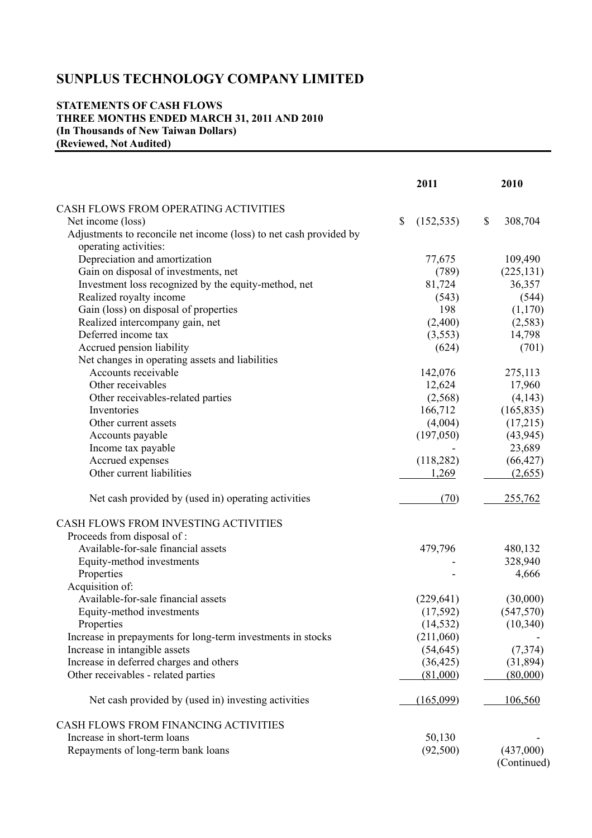# **STATEMENTS OF CASH FLOWS THREE MONTHS ENDED MARCH 31, 2011 AND 2010 (In Thousands of New Taiwan Dollars) (Reviewed, Not Audited)**

|                                                                    | 2011             | 2010          |
|--------------------------------------------------------------------|------------------|---------------|
| CASH FLOWS FROM OPERATING ACTIVITIES                               |                  |               |
| Net income (loss)                                                  | \$<br>(152, 535) | \$<br>308,704 |
| Adjustments to reconcile net income (loss) to net cash provided by |                  |               |
| operating activities:                                              |                  |               |
| Depreciation and amortization                                      | 77,675           | 109,490       |
| Gain on disposal of investments, net                               | (789)            | (225, 131)    |
| Investment loss recognized by the equity-method, net               | 81,724           | 36,357        |
| Realized royalty income                                            | (543)            | (544)         |
| Gain (loss) on disposal of properties                              | 198              | (1,170)       |
| Realized intercompany gain, net                                    | (2,400)          | (2, 583)      |
| Deferred income tax                                                | (3,553)          | 14,798        |
| Accrued pension liability                                          | (624)            | (701)         |
| Net changes in operating assets and liabilities                    |                  |               |
| Accounts receivable                                                | 142,076          | 275,113       |
| Other receivables                                                  | 12,624           | 17,960        |
| Other receivables-related parties                                  | (2,568)          | (4,143)       |
| Inventories                                                        | 166,712          | (165, 835)    |
| Other current assets                                               | (4,004)          | (17,215)      |
| Accounts payable                                                   | (197,050)        | (43, 945)     |
| Income tax payable                                                 |                  | 23,689        |
| Accrued expenses                                                   | (118, 282)       | (66, 427)     |
| Other current liabilities                                          | 1,269            | (2,655)       |
| Net cash provided by (used in) operating activities                | (70)             | 255,762       |
| CASH FLOWS FROM INVESTING ACTIVITIES                               |                  |               |
| Proceeds from disposal of :                                        |                  |               |
| Available-for-sale financial assets                                | 479,796          | 480,132       |
| Equity-method investments                                          |                  | 328,940       |
| Properties                                                         |                  | 4,666         |
| Acquisition of:                                                    |                  |               |
| Available-for-sale financial assets                                | (229, 641)       | (30,000)      |
| Equity-method investments                                          | (17, 592)        | (547, 570)    |
| Properties                                                         | (14, 532)        | (10, 340)     |
| Increase in prepayments for long-term investments in stocks        | (211,060)        |               |
| Increase in intangible assets                                      | (54, 645)        | (7,374)       |
| Increase in deferred charges and others                            | (36, 425)        | (31,894)      |
| Other receivables - related parties                                | (81,000)         | (80,000)      |
| Net cash provided by (used in) investing activities                | (165,099)        | 106,560       |
| CASH FLOWS FROM FINANCING ACTIVITIES                               |                  |               |
| Increase in short-term loans                                       | 50,130           |               |
| Repayments of long-term bank loans                                 | (92,500)         | (437,000)     |
|                                                                    |                  | (Continued)   |